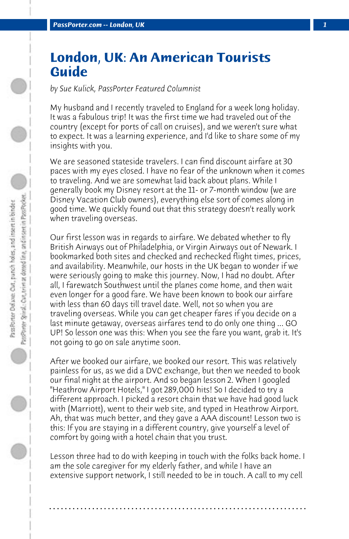## **London, UK: An American Tourists Guide**

*by Sue Kulick, PassPorter Featured Columnist*

My husband and I recently traveled to England for a week long holiday. It was a fabulous trip! It was the first time we had traveled out of the country (except for ports of call on cruises), and we weren't sure what to expect. It was a learning experience, and I'd like to share some of my insights with you.

We are seasoned stateside travelers. I can find discount airfare at 30 paces with my eyes closed. I have no fear of the unknown when it comes to traveling. And we are somewhat laid back about plans. While I generally book my Disney resort at the 11- or 7-month window (we are Disney Vacation Club owners), everything else sort of comes along in good time. We quickly found out that this strategy doesn't really work when traveling overseas.

Our first lesson was in regards to airfare. We debated whether to fly British Airways out of Philadelphia, or Virgin Airways out of Newark. I bookmarked both sites and checked and rechecked flight times, prices, and availability. Meanwhile, our hosts in the UK began to wonder if we were seriously going to make this journey. Now, I had no doubt. After all, I farewatch Southwest until the planes come home, and then wait even longer for a good fare. We have been known to book our airfare with less than 60 days till travel date. Well, not so when you are traveling overseas. While you can get cheaper fares if you decide on a last minute getaway, overseas airfares tend to do only one thing ... GO UP! So lesson one was this: When you see the fare you want, grab it. It's not going to go on sale anytime soon.

After we booked our airfare, we booked our resort. This was relatively painless for us, as we did a DVC exchange, but then we needed to book our final night at the airport. And so began lesson 2. When I googled "Heathrow Airport Hotels," I got 289,000 hits! So I decided to try a different approach. I picked a resort chain that we have had good luck with (Marriott), went to their web site, and typed in Heathrow Airport. Ah, that was much better, and they gave a AAA discount! Lesson two is this: If you are staying in a different country, give yourself a level of comfort by going with a hotel chain that you trust.

Lesson three had to do with keeping in touch with the folks back home. I am the sole caregiver for my elderly father, and while I have an extensive support network, I still needed to be in touch. A call to my cell

**. . . . . . . . . . . . . . . . . . . . . . . . . . . . . . . . . . . . . . . . . . . . . . . . . . . . . . . . . . . . . . . . . .**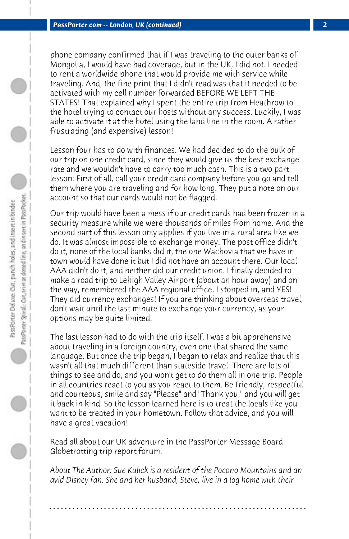phone company confirmed that if I was traveling to the outer banks of Mongolia, I would have had coverage, but in the UK, I did not. I needed to rent a worldwide phone that would provide me with service while traveling. And, the fine print that I didn't read was that it needed to be activated with my cell number forwarded BEFORE WE LEFT THE STATES! That explained why I spent the entire trip from Heathrow to the hotel trying to contact our hosts without any success. Luckily, I was able to activate it at the hotel using the land line in the room. A rather frustrating (and expensive) lesson!

Lesson four has to do with finances. We had decided to do the bulk of our trip on one credit card, since they would give us the best exchange rate and we wouldn't have to carry too much cash. This is a two part lesson: First of all, call your credit card company before you go and tell them where you are traveling and for how long. They put a note on our account so that our cards would not be flagged.

Our trip would have been a mess if our credit cards had been frozen in a security measure while we were thousands of miles from home. And the second part of this lesson only applies if you live in a rural area like we do. It was almost impossible to exchange money. The post office didn't do it, none of the local banks did it, the one Wachovia that we have in town would have done it but I did not have an account there. Our local AAA didn't do it, and neither did our credit union. I finally decided to make a road trip to Lehigh Valley Airport (about an hour away) and on the way, remembered the AAA regional office. I stopped in, and YES! They did currency exchanges! If you are thinking about overseas travel, don't wait until the last minute to exchange your currency, as your options may be quite limited.

The last lesson had to do with the trip itself. I was a bit apprehensive about traveling in a foreign country, even one that shared the same language. But once the trip began, I began to relax and realize that this wasn't all that much different than stateside travel. There are lots of things to see and do, and you won't get to do them all in one trip. People in all countries react to you as you react to them. Be friendly, respectful and courteous, smile and say "Please" and "Thank you," and you will get it back in kind. So the lesson learned here is to treat the locals like you want to be treated in your hometown. Follow that advice, and you will have a great vacation!

Read all about our UK adventure in the PassPorter Message Board Globetrotting trip report forum.

*About The Author: Sue Kulick is a resident of the Pocono Mountains and an avid Disney fan. She and her husband, Steve, live in a log home with their*

**. . . . . . . . . . . . . . . . . . . . . . . . . . . . . . . . . . . . . . . . . . . . . . . . . . . . . . . . . . . . . . . . . .**